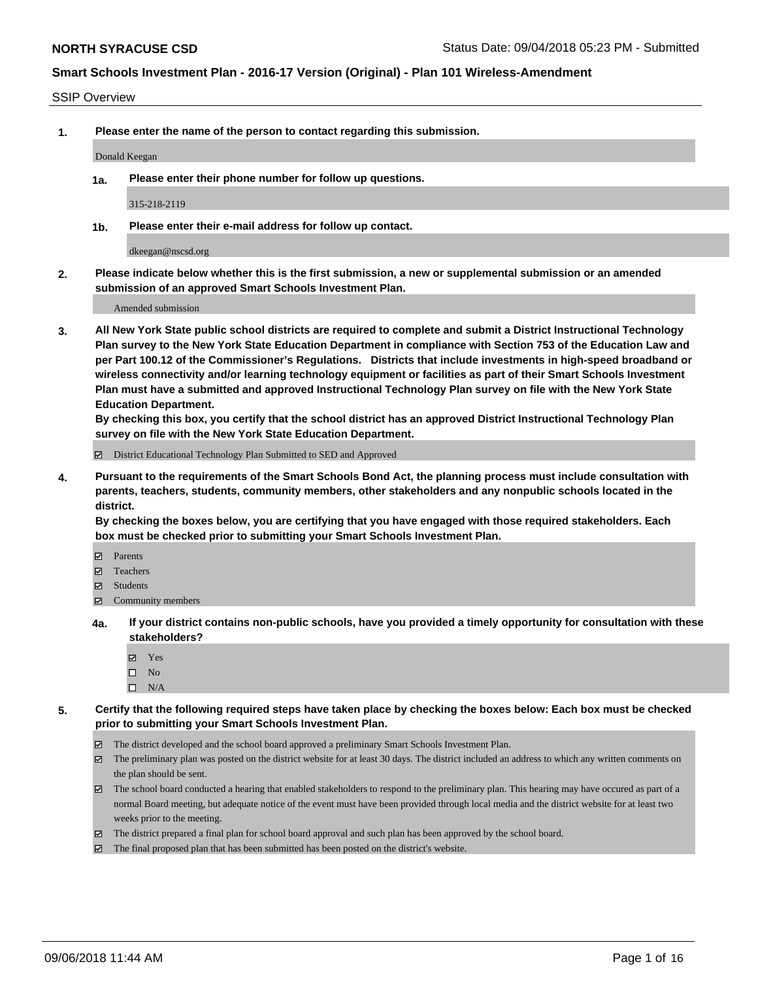#### SSIP Overview

**1. Please enter the name of the person to contact regarding this submission.**

#### Donald Keegan

**1a. Please enter their phone number for follow up questions.**

315-218-2119

**1b. Please enter their e-mail address for follow up contact.**

dkeegan@nscsd.org

**2. Please indicate below whether this is the first submission, a new or supplemental submission or an amended submission of an approved Smart Schools Investment Plan.**

Amended submission

**3. All New York State public school districts are required to complete and submit a District Instructional Technology Plan survey to the New York State Education Department in compliance with Section 753 of the Education Law and per Part 100.12 of the Commissioner's Regulations. Districts that include investments in high-speed broadband or wireless connectivity and/or learning technology equipment or facilities as part of their Smart Schools Investment Plan must have a submitted and approved Instructional Technology Plan survey on file with the New York State Education Department.** 

**By checking this box, you certify that the school district has an approved District Instructional Technology Plan survey on file with the New York State Education Department.**

District Educational Technology Plan Submitted to SED and Approved

**4. Pursuant to the requirements of the Smart Schools Bond Act, the planning process must include consultation with parents, teachers, students, community members, other stakeholders and any nonpublic schools located in the district.** 

**By checking the boxes below, you are certifying that you have engaged with those required stakeholders. Each box must be checked prior to submitting your Smart Schools Investment Plan.**

- **Parents**
- Teachers
- **☑** Students
- **☑** Community members
- **4a. If your district contains non-public schools, have you provided a timely opportunity for consultation with these stakeholders?**
	- **Ø** Yes
	- $\square$  No
	- $\square$  N/A
- **5. Certify that the following required steps have taken place by checking the boxes below: Each box must be checked prior to submitting your Smart Schools Investment Plan.**
	- The district developed and the school board approved a preliminary Smart Schools Investment Plan.
	- $\boxtimes$  The preliminary plan was posted on the district website for at least 30 days. The district included an address to which any written comments on the plan should be sent.
	- The school board conducted a hearing that enabled stakeholders to respond to the preliminary plan. This hearing may have occured as part of a normal Board meeting, but adequate notice of the event must have been provided through local media and the district website for at least two weeks prior to the meeting.
	- The district prepared a final plan for school board approval and such plan has been approved by the school board.
	- The final proposed plan that has been submitted has been posted on the district's website.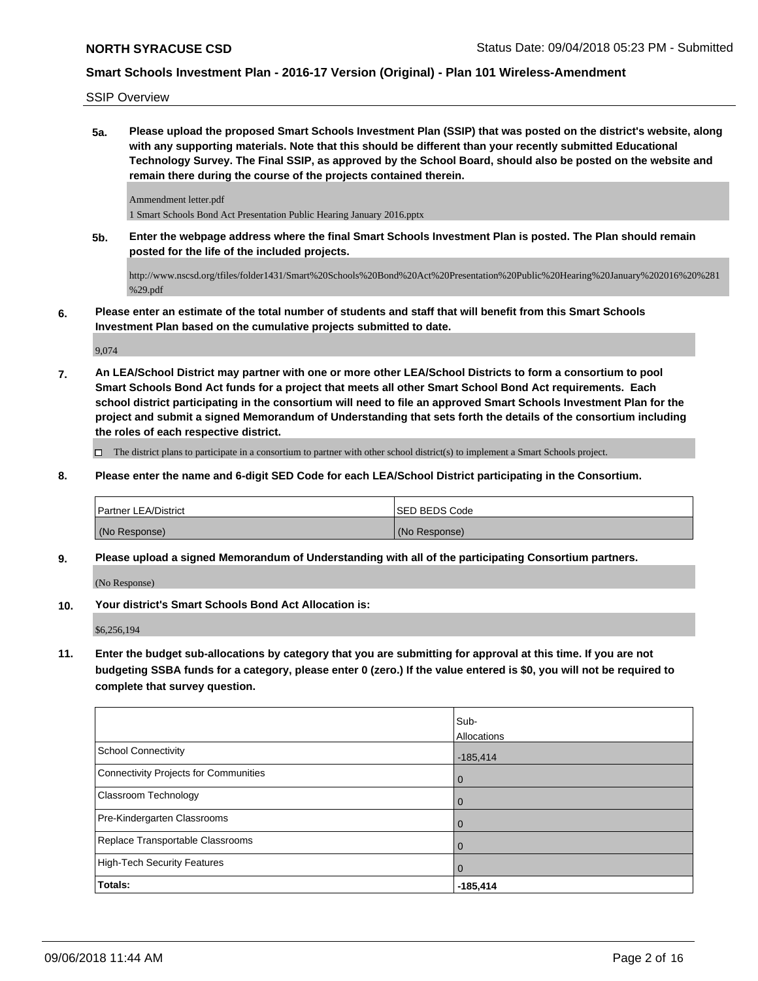SSIP Overview

**5a. Please upload the proposed Smart Schools Investment Plan (SSIP) that was posted on the district's website, along with any supporting materials. Note that this should be different than your recently submitted Educational Technology Survey. The Final SSIP, as approved by the School Board, should also be posted on the website and remain there during the course of the projects contained therein.**

Ammendment letter.pdf 1 Smart Schools Bond Act Presentation Public Hearing January 2016.pptx

**5b. Enter the webpage address where the final Smart Schools Investment Plan is posted. The Plan should remain posted for the life of the included projects.**

http://www.nscsd.org/tfiles/folder1431/Smart%20Schools%20Bond%20Act%20Presentation%20Public%20Hearing%20January%202016%20%281 %29.pdf

**6. Please enter an estimate of the total number of students and staff that will benefit from this Smart Schools Investment Plan based on the cumulative projects submitted to date.**

9,074

**7. An LEA/School District may partner with one or more other LEA/School Districts to form a consortium to pool Smart Schools Bond Act funds for a project that meets all other Smart School Bond Act requirements. Each school district participating in the consortium will need to file an approved Smart Schools Investment Plan for the project and submit a signed Memorandum of Understanding that sets forth the details of the consortium including the roles of each respective district.**

The district plans to participate in a consortium to partner with other school district(s) to implement a Smart Schools project.

**8. Please enter the name and 6-digit SED Code for each LEA/School District participating in the Consortium.**

| Partner LEA/District | ISED BEDS Code |
|----------------------|----------------|
| (No Response)        | (No Response)  |

**9. Please upload a signed Memorandum of Understanding with all of the participating Consortium partners.**

(No Response)

**10. Your district's Smart Schools Bond Act Allocation is:**

\$6,256,194

**11. Enter the budget sub-allocations by category that you are submitting for approval at this time. If you are not budgeting SSBA funds for a category, please enter 0 (zero.) If the value entered is \$0, you will not be required to complete that survey question.**

|                                       | Sub-           |
|---------------------------------------|----------------|
|                                       | Allocations    |
| School Connectivity                   | $-185,414$     |
| Connectivity Projects for Communities | $\overline{0}$ |
| <b>Classroom Technology</b>           | $\overline{0}$ |
| Pre-Kindergarten Classrooms           | $\Omega$       |
| Replace Transportable Classrooms      | $\Omega$       |
| High-Tech Security Features           | $\mathbf 0$    |
| Totals:                               | $-185,414$     |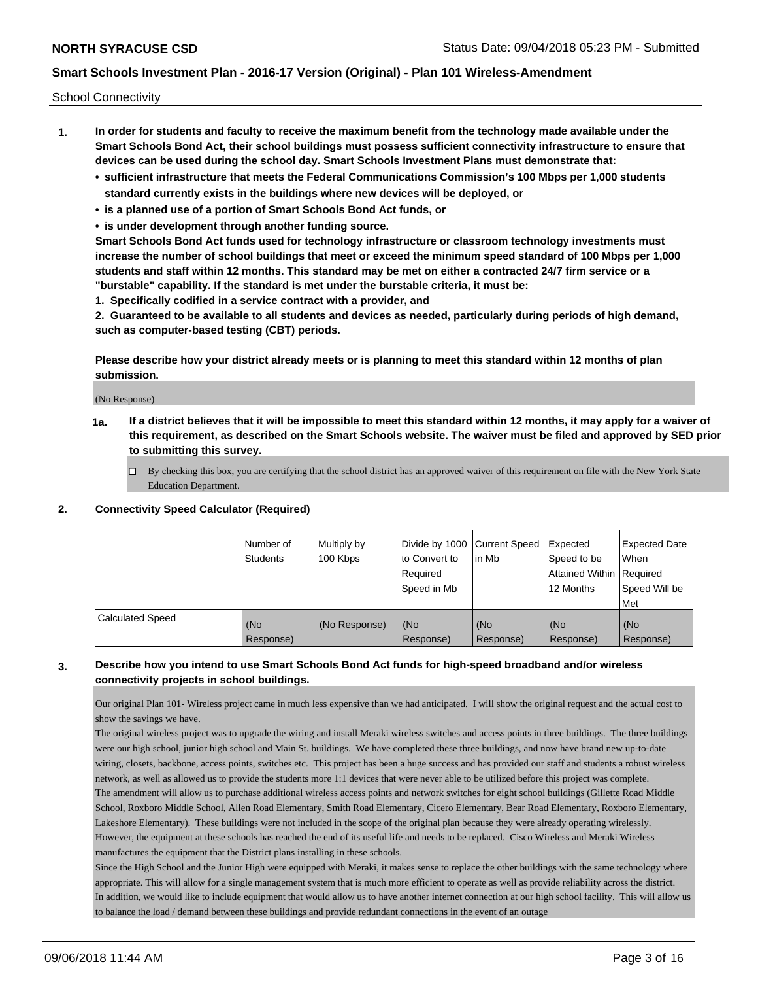School Connectivity

- **1. In order for students and faculty to receive the maximum benefit from the technology made available under the Smart Schools Bond Act, their school buildings must possess sufficient connectivity infrastructure to ensure that devices can be used during the school day. Smart Schools Investment Plans must demonstrate that:**
	- **• sufficient infrastructure that meets the Federal Communications Commission's 100 Mbps per 1,000 students standard currently exists in the buildings where new devices will be deployed, or**
	- **• is a planned use of a portion of Smart Schools Bond Act funds, or**
	- **• is under development through another funding source.**

**Smart Schools Bond Act funds used for technology infrastructure or classroom technology investments must increase the number of school buildings that meet or exceed the minimum speed standard of 100 Mbps per 1,000 students and staff within 12 months. This standard may be met on either a contracted 24/7 firm service or a "burstable" capability. If the standard is met under the burstable criteria, it must be:**

**1. Specifically codified in a service contract with a provider, and**

**2. Guaranteed to be available to all students and devices as needed, particularly during periods of high demand, such as computer-based testing (CBT) periods.**

**Please describe how your district already meets or is planning to meet this standard within 12 months of plan submission.**

(No Response)

**1a. If a district believes that it will be impossible to meet this standard within 12 months, it may apply for a waiver of this requirement, as described on the Smart Schools website. The waiver must be filed and approved by SED prior to submitting this survey.**

 $\Box$  By checking this box, you are certifying that the school district has an approved waiver of this requirement on file with the New York State Education Department.

#### **2. Connectivity Speed Calculator (Required)**

|                         | Number of<br>Students | Multiply by<br>100 Kbps | Divide by 1000 Current Speed<br>to Convert to<br>Required<br>Speed in Mb | lin Mb           | Expected<br>Speed to be<br>Attained Within   Required<br>12 Months | <b>Expected Date</b><br>When<br>Speed Will be<br><b>Met</b> |
|-------------------------|-----------------------|-------------------------|--------------------------------------------------------------------------|------------------|--------------------------------------------------------------------|-------------------------------------------------------------|
| <b>Calculated Speed</b> | (No<br>Response)      | (No Response)           | (No<br>Response)                                                         | (No<br>Response) | (No<br>Response)                                                   | (No<br>Response)                                            |

### **3. Describe how you intend to use Smart Schools Bond Act funds for high-speed broadband and/or wireless connectivity projects in school buildings.**

Our original Plan 101- Wireless project came in much less expensive than we had anticipated. I will show the original request and the actual cost to show the savings we have.

The original wireless project was to upgrade the wiring and install Meraki wireless switches and access points in three buildings. The three buildings were our high school, junior high school and Main St. buildings. We have completed these three buildings, and now have brand new up-to-date wiring, closets, backbone, access points, switches etc. This project has been a huge success and has provided our staff and students a robust wireless network, as well as allowed us to provide the students more 1:1 devices that were never able to be utilized before this project was complete. The amendment will allow us to purchase additional wireless access points and network switches for eight school buildings (Gillette Road Middle School, Roxboro Middle School, Allen Road Elementary, Smith Road Elementary, Cicero Elementary, Bear Road Elementary, Roxboro Elementary, Lakeshore Elementary). These buildings were not included in the scope of the original plan because they were already operating wirelessly. However, the equipment at these schools has reached the end of its useful life and needs to be replaced. Cisco Wireless and Meraki Wireless manufactures the equipment that the District plans installing in these schools.

Since the High School and the Junior High were equipped with Meraki, it makes sense to replace the other buildings with the same technology where appropriate. This will allow for a single management system that is much more efficient to operate as well as provide reliability across the district. In addition, we would like to include equipment that would allow us to have another internet connection at our high school facility. This will allow us to balance the load / demand between these buildings and provide redundant connections in the event of an outage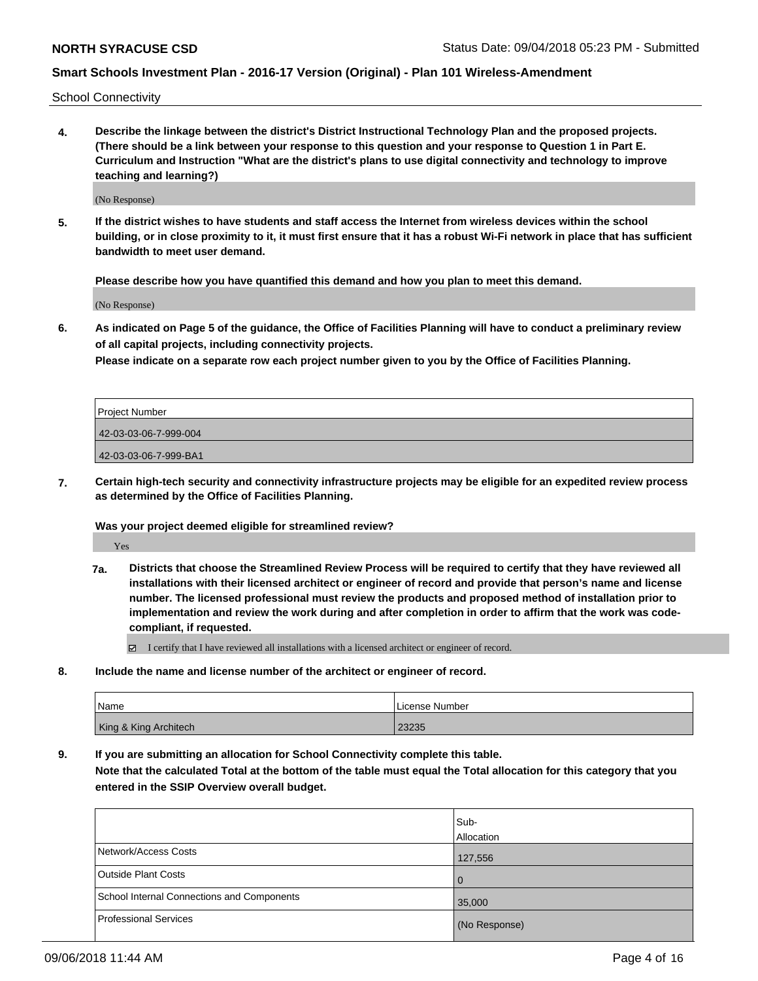School Connectivity

**4. Describe the linkage between the district's District Instructional Technology Plan and the proposed projects. (There should be a link between your response to this question and your response to Question 1 in Part E. Curriculum and Instruction "What are the district's plans to use digital connectivity and technology to improve teaching and learning?)**

(No Response)

**5. If the district wishes to have students and staff access the Internet from wireless devices within the school building, or in close proximity to it, it must first ensure that it has a robust Wi-Fi network in place that has sufficient bandwidth to meet user demand.**

**Please describe how you have quantified this demand and how you plan to meet this demand.**

(No Response)

**6. As indicated on Page 5 of the guidance, the Office of Facilities Planning will have to conduct a preliminary review of all capital projects, including connectivity projects.**

**Please indicate on a separate row each project number given to you by the Office of Facilities Planning.**

| Project Number        |  |
|-----------------------|--|
| 42-03-03-06-7-999-004 |  |
| 42-03-03-06-7-999-BA1 |  |

**7. Certain high-tech security and connectivity infrastructure projects may be eligible for an expedited review process as determined by the Office of Facilities Planning.**

**Was your project deemed eligible for streamlined review?**

Yes

**7a. Districts that choose the Streamlined Review Process will be required to certify that they have reviewed all installations with their licensed architect or engineer of record and provide that person's name and license number. The licensed professional must review the products and proposed method of installation prior to implementation and review the work during and after completion in order to affirm that the work was codecompliant, if requested.**

I certify that I have reviewed all installations with a licensed architect or engineer of record.

**8. Include the name and license number of the architect or engineer of record.**

| <b>Name</b>           | License Number |
|-----------------------|----------------|
| King & King Architech | 23235          |

**9. If you are submitting an allocation for School Connectivity complete this table.**

**Note that the calculated Total at the bottom of the table must equal the Total allocation for this category that you entered in the SSIP Overview overall budget.** 

|                                            | Sub-          |
|--------------------------------------------|---------------|
|                                            | Allocation    |
| Network/Access Costs                       | 127,556       |
| <b>Outside Plant Costs</b>                 | l 0           |
| School Internal Connections and Components | 35,000        |
| <b>Professional Services</b>               | (No Response) |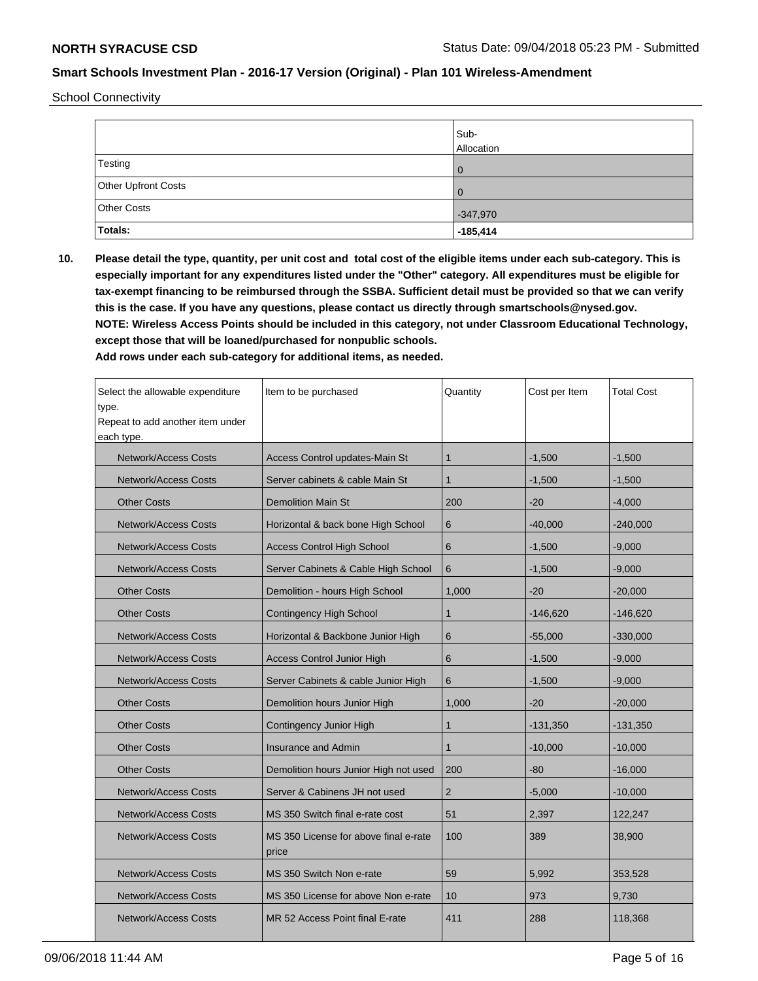School Connectivity

|                     | Sub-<br>Allocation |
|---------------------|--------------------|
| Testing             | $\overline{0}$     |
| Other Upfront Costs | $\overline{0}$     |
| Other Costs         | $-347,970$         |
| Totals:             | $-185,414$         |

**10. Please detail the type, quantity, per unit cost and total cost of the eligible items under each sub-category. This is especially important for any expenditures listed under the "Other" category. All expenditures must be eligible for tax-exempt financing to be reimbursed through the SSBA. Sufficient detail must be provided so that we can verify this is the case. If you have any questions, please contact us directly through smartschools@nysed.gov. NOTE: Wireless Access Points should be included in this category, not under Classroom Educational Technology, except those that will be loaned/purchased for nonpublic schools.**

| Select the allowable expenditure<br>type.<br>Repeat to add another item under<br>each type. | Item to be purchased                           | Quantity     | Cost per Item | <b>Total Cost</b> |
|---------------------------------------------------------------------------------------------|------------------------------------------------|--------------|---------------|-------------------|
| <b>Network/Access Costs</b>                                                                 | Access Control updates-Main St                 | $\mathbf 1$  | $-1,500$      | $-1,500$          |
| <b>Network/Access Costs</b>                                                                 | Server cabinets & cable Main St                | $\mathbf{1}$ | $-1,500$      | $-1,500$          |
| <b>Other Costs</b>                                                                          | <b>Demolition Main St</b>                      | 200          | $-20$         | $-4,000$          |
| <b>Network/Access Costs</b>                                                                 | Horizontal & back bone High School             | 6            | $-40,000$     | $-240,000$        |
| <b>Network/Access Costs</b>                                                                 | <b>Access Control High School</b>              | 6            | $-1,500$      | $-9.000$          |
| <b>Network/Access Costs</b>                                                                 | Server Cabinets & Cable High School            | 6            | $-1,500$      | $-9,000$          |
| <b>Other Costs</b>                                                                          | Demolition - hours High School                 | 1,000        | $-20$         | $-20,000$         |
| <b>Other Costs</b>                                                                          | <b>Contingency High School</b>                 | $\mathbf{1}$ | $-146,620$    | $-146,620$        |
| <b>Network/Access Costs</b>                                                                 | Horizontal & Backbone Junior High              | 6            | $-55,000$     | $-330,000$        |
| <b>Network/Access Costs</b>                                                                 | <b>Access Control Junior High</b>              | 6            | $-1,500$      | $-9,000$          |
| <b>Network/Access Costs</b>                                                                 | Server Cabinets & cable Junior High            | 6            | $-1,500$      | $-9,000$          |
| <b>Other Costs</b>                                                                          | Demolition hours Junior High                   | 1,000        | $-20$         | $-20,000$         |
| <b>Other Costs</b>                                                                          | Contingency Junior High                        | $\mathbf{1}$ | $-131,350$    | $-131,350$        |
| <b>Other Costs</b>                                                                          | <b>Insurance and Admin</b>                     | $\mathbf{1}$ | $-10,000$     | $-10,000$         |
| <b>Other Costs</b>                                                                          | Demolition hours Junior High not used          | 200          | -80           | $-16,000$         |
| <b>Network/Access Costs</b>                                                                 | Server & Cabinens JH not used                  | 2            | $-5,000$      | $-10,000$         |
| <b>Network/Access Costs</b>                                                                 | MS 350 Switch final e-rate cost                | 51           | 2,397         | 122,247           |
| <b>Network/Access Costs</b>                                                                 | MS 350 License for above final e-rate<br>price | 100          | 389           | 38,900            |
| <b>Network/Access Costs</b>                                                                 | MS 350 Switch Non e-rate                       | 59           | 5,992         | 353,528           |
| <b>Network/Access Costs</b>                                                                 | MS 350 License for above Non e-rate            | 10           | 973           | 9,730             |
| <b>Network/Access Costs</b>                                                                 | MR 52 Access Point final E-rate                | 411          | 288           | 118,368           |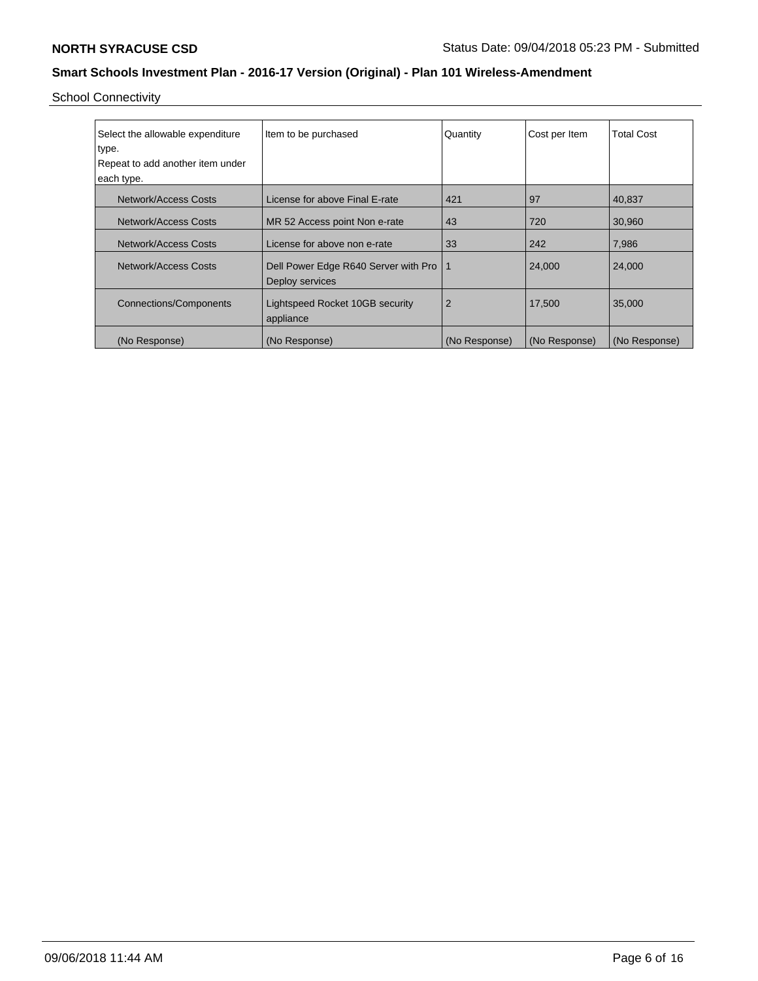School Connectivity

| Select the allowable expenditure | Item to be purchased                                    | Quantity      | Cost per Item | <b>Total Cost</b> |
|----------------------------------|---------------------------------------------------------|---------------|---------------|-------------------|
| type.                            |                                                         |               |               |                   |
| Repeat to add another item under |                                                         |               |               |                   |
| each type.                       |                                                         |               |               |                   |
| Network/Access Costs             | License for above Final E-rate                          | 421           | 97            | 40,837            |
| Network/Access Costs             | MR 52 Access point Non e-rate                           | 43            | 720           | 30,960            |
| Network/Access Costs             | License for above non e-rate                            | 33            | 242           | 7,986             |
| Network/Access Costs             | Dell Power Edge R640 Server with Pro<br>Deploy services | $\mathbf 1$   | 24,000        | 24,000            |
| <b>Connections/Components</b>    | Lightspeed Rocket 10GB security<br>appliance            | 2             | 17,500        | 35,000            |
| (No Response)                    | (No Response)                                           | (No Response) | (No Response) | (No Response)     |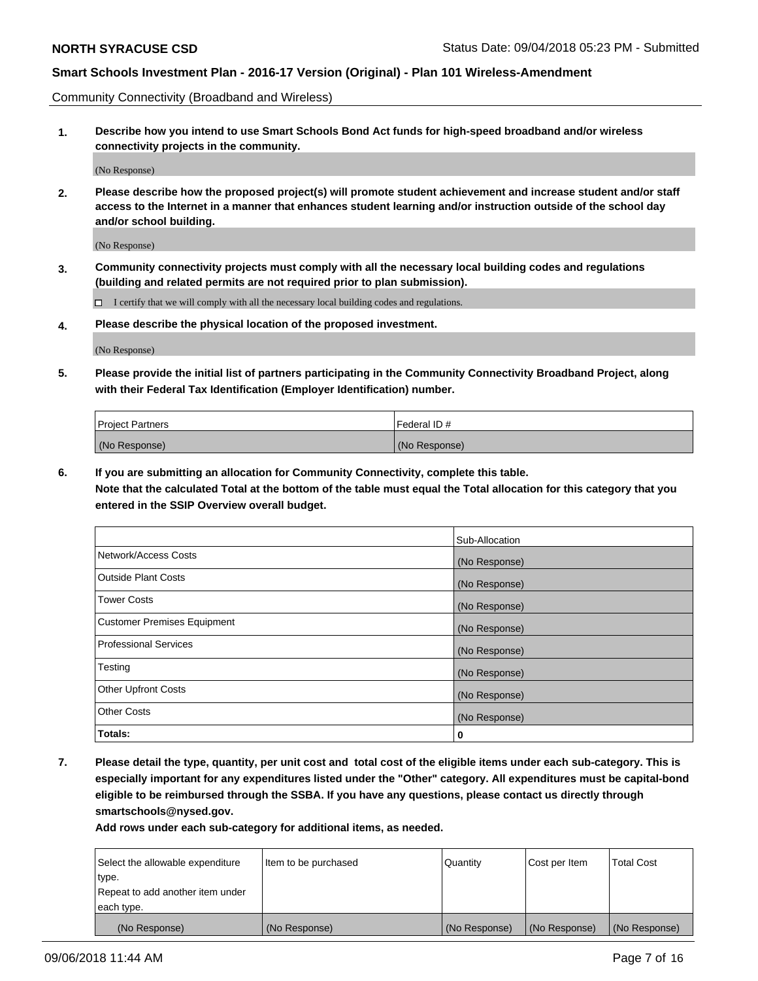Community Connectivity (Broadband and Wireless)

**1. Describe how you intend to use Smart Schools Bond Act funds for high-speed broadband and/or wireless connectivity projects in the community.**

(No Response)

**2. Please describe how the proposed project(s) will promote student achievement and increase student and/or staff access to the Internet in a manner that enhances student learning and/or instruction outside of the school day and/or school building.**

(No Response)

**3. Community connectivity projects must comply with all the necessary local building codes and regulations (building and related permits are not required prior to plan submission).**

 $\Box$  I certify that we will comply with all the necessary local building codes and regulations.

**4. Please describe the physical location of the proposed investment.**

(No Response)

**5. Please provide the initial list of partners participating in the Community Connectivity Broadband Project, along with their Federal Tax Identification (Employer Identification) number.**

| <b>Project Partners</b> | Federal ID#   |
|-------------------------|---------------|
| (No Response)           | (No Response) |

**6. If you are submitting an allocation for Community Connectivity, complete this table.**

**Note that the calculated Total at the bottom of the table must equal the Total allocation for this category that you entered in the SSIP Overview overall budget.**

|                                    | Sub-Allocation |
|------------------------------------|----------------|
| Network/Access Costs               | (No Response)  |
| <b>Outside Plant Costs</b>         | (No Response)  |
| <b>Tower Costs</b>                 | (No Response)  |
| <b>Customer Premises Equipment</b> | (No Response)  |
| <b>Professional Services</b>       | (No Response)  |
| Testing                            | (No Response)  |
| <b>Other Upfront Costs</b>         | (No Response)  |
| <b>Other Costs</b>                 | (No Response)  |
| Totals:                            | 0              |

**7. Please detail the type, quantity, per unit cost and total cost of the eligible items under each sub-category. This is especially important for any expenditures listed under the "Other" category. All expenditures must be capital-bond eligible to be reimbursed through the SSBA. If you have any questions, please contact us directly through smartschools@nysed.gov.**

| Select the allowable expenditure | Item to be purchased | Quantity      | Cost per Item | <b>Total Cost</b> |
|----------------------------------|----------------------|---------------|---------------|-------------------|
| type.                            |                      |               |               |                   |
| Repeat to add another item under |                      |               |               |                   |
| each type.                       |                      |               |               |                   |
| (No Response)                    | (No Response)        | (No Response) | (No Response) | (No Response)     |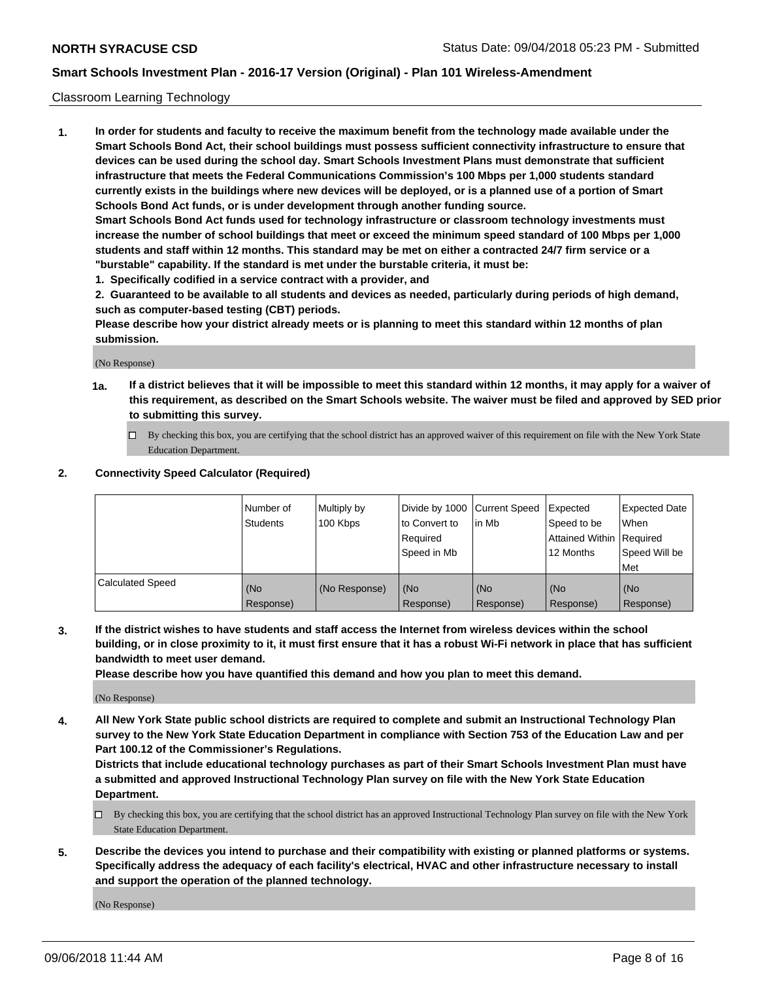#### Classroom Learning Technology

**1. In order for students and faculty to receive the maximum benefit from the technology made available under the Smart Schools Bond Act, their school buildings must possess sufficient connectivity infrastructure to ensure that devices can be used during the school day. Smart Schools Investment Plans must demonstrate that sufficient infrastructure that meets the Federal Communications Commission's 100 Mbps per 1,000 students standard currently exists in the buildings where new devices will be deployed, or is a planned use of a portion of Smart Schools Bond Act funds, or is under development through another funding source. Smart Schools Bond Act funds used for technology infrastructure or classroom technology investments must increase the number of school buildings that meet or exceed the minimum speed standard of 100 Mbps per 1,000 students and staff within 12 months. This standard may be met on either a contracted 24/7 firm service or a**

**"burstable" capability. If the standard is met under the burstable criteria, it must be:**

**1. Specifically codified in a service contract with a provider, and**

**2. Guaranteed to be available to all students and devices as needed, particularly during periods of high demand, such as computer-based testing (CBT) periods.**

**Please describe how your district already meets or is planning to meet this standard within 12 months of plan submission.**

(No Response)

- **1a. If a district believes that it will be impossible to meet this standard within 12 months, it may apply for a waiver of this requirement, as described on the Smart Schools website. The waiver must be filed and approved by SED prior to submitting this survey.**
	- By checking this box, you are certifying that the school district has an approved waiver of this requirement on file with the New York State Education Department.

#### **2. Connectivity Speed Calculator (Required)**

|                         | l Number of<br>Students | Multiply by<br>100 Kbps | to Convert to<br>Required<br>Speed in Mb | Divide by 1000 Current Speed Expected<br>l in Mb | Speed to be<br>Attained Within Required<br>12 Months | Expected Date<br>When<br>Speed Will be<br>Met |
|-------------------------|-------------------------|-------------------------|------------------------------------------|--------------------------------------------------|------------------------------------------------------|-----------------------------------------------|
| <b>Calculated Speed</b> | (No<br>Response)        | (No Response)           | (No<br>Response)                         | (No<br>Response)                                 | (No<br>Response)                                     | (No<br>Response)                              |

**3. If the district wishes to have students and staff access the Internet from wireless devices within the school building, or in close proximity to it, it must first ensure that it has a robust Wi-Fi network in place that has sufficient bandwidth to meet user demand.**

**Please describe how you have quantified this demand and how you plan to meet this demand.**

(No Response)

**4. All New York State public school districts are required to complete and submit an Instructional Technology Plan survey to the New York State Education Department in compliance with Section 753 of the Education Law and per Part 100.12 of the Commissioner's Regulations.**

**Districts that include educational technology purchases as part of their Smart Schools Investment Plan must have a submitted and approved Instructional Technology Plan survey on file with the New York State Education Department.**

- $\Box$  By checking this box, you are certifying that the school district has an approved Instructional Technology Plan survey on file with the New York State Education Department.
- **5. Describe the devices you intend to purchase and their compatibility with existing or planned platforms or systems. Specifically address the adequacy of each facility's electrical, HVAC and other infrastructure necessary to install and support the operation of the planned technology.**

(No Response)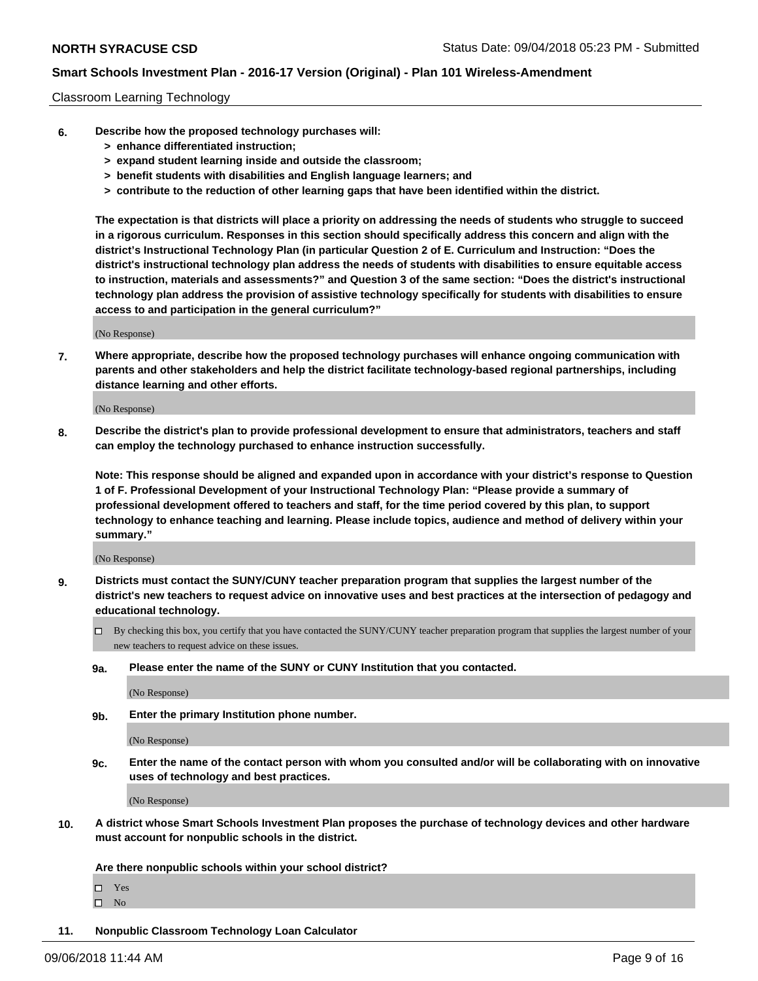#### Classroom Learning Technology

- **6. Describe how the proposed technology purchases will:**
	- **> enhance differentiated instruction;**
	- **> expand student learning inside and outside the classroom;**
	- **> benefit students with disabilities and English language learners; and**
	- **> contribute to the reduction of other learning gaps that have been identified within the district.**

**The expectation is that districts will place a priority on addressing the needs of students who struggle to succeed in a rigorous curriculum. Responses in this section should specifically address this concern and align with the district's Instructional Technology Plan (in particular Question 2 of E. Curriculum and Instruction: "Does the district's instructional technology plan address the needs of students with disabilities to ensure equitable access to instruction, materials and assessments?" and Question 3 of the same section: "Does the district's instructional technology plan address the provision of assistive technology specifically for students with disabilities to ensure access to and participation in the general curriculum?"**

(No Response)

**7. Where appropriate, describe how the proposed technology purchases will enhance ongoing communication with parents and other stakeholders and help the district facilitate technology-based regional partnerships, including distance learning and other efforts.**

(No Response)

**8. Describe the district's plan to provide professional development to ensure that administrators, teachers and staff can employ the technology purchased to enhance instruction successfully.**

**Note: This response should be aligned and expanded upon in accordance with your district's response to Question 1 of F. Professional Development of your Instructional Technology Plan: "Please provide a summary of professional development offered to teachers and staff, for the time period covered by this plan, to support technology to enhance teaching and learning. Please include topics, audience and method of delivery within your summary."**

(No Response)

- **9. Districts must contact the SUNY/CUNY teacher preparation program that supplies the largest number of the district's new teachers to request advice on innovative uses and best practices at the intersection of pedagogy and educational technology.**
	- By checking this box, you certify that you have contacted the SUNY/CUNY teacher preparation program that supplies the largest number of your new teachers to request advice on these issues.
	- **9a. Please enter the name of the SUNY or CUNY Institution that you contacted.**

(No Response)

**9b. Enter the primary Institution phone number.**

(No Response)

**9c. Enter the name of the contact person with whom you consulted and/or will be collaborating with on innovative uses of technology and best practices.**

(No Response)

**10. A district whose Smart Schools Investment Plan proposes the purchase of technology devices and other hardware must account for nonpublic schools in the district.**

**Are there nonpublic schools within your school district?**

Yes

 $\square$  No

**11. Nonpublic Classroom Technology Loan Calculator**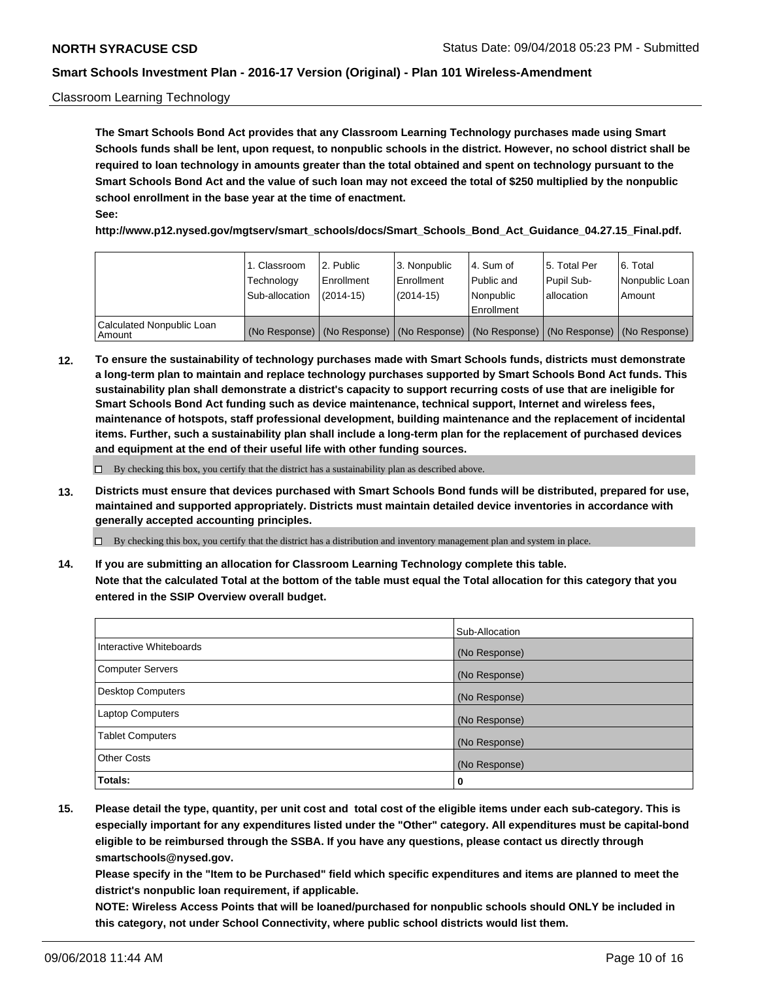#### Classroom Learning Technology

**The Smart Schools Bond Act provides that any Classroom Learning Technology purchases made using Smart Schools funds shall be lent, upon request, to nonpublic schools in the district. However, no school district shall be required to loan technology in amounts greater than the total obtained and spent on technology pursuant to the Smart Schools Bond Act and the value of such loan may not exceed the total of \$250 multiplied by the nonpublic school enrollment in the base year at the time of enactment. See:**

**http://www.p12.nysed.gov/mgtserv/smart\_schools/docs/Smart\_Schools\_Bond\_Act\_Guidance\_04.27.15\_Final.pdf.**

|                                       | 1. Classroom<br>Technology<br>Sub-allocation | 2. Public<br>l Enrollment<br>$(2014 - 15)$ | l 3. Nonpublic<br>l Enrollment<br>$(2014 - 15)$ | l 4. Sum of<br>Public and<br>l Nonpublic<br>Enrollment                                        | 15. Total Per<br>Pupil Sub-<br>l allocation | l 6. Total<br>Nonpublic Loan<br>Amount |
|---------------------------------------|----------------------------------------------|--------------------------------------------|-------------------------------------------------|-----------------------------------------------------------------------------------------------|---------------------------------------------|----------------------------------------|
| Calculated Nonpublic Loan<br>l Amount |                                              |                                            |                                                 | (No Response)   (No Response)   (No Response)   (No Response)   (No Response)   (No Response) |                                             |                                        |

**12. To ensure the sustainability of technology purchases made with Smart Schools funds, districts must demonstrate a long-term plan to maintain and replace technology purchases supported by Smart Schools Bond Act funds. This sustainability plan shall demonstrate a district's capacity to support recurring costs of use that are ineligible for Smart Schools Bond Act funding such as device maintenance, technical support, Internet and wireless fees, maintenance of hotspots, staff professional development, building maintenance and the replacement of incidental items. Further, such a sustainability plan shall include a long-term plan for the replacement of purchased devices and equipment at the end of their useful life with other funding sources.**

 $\Box$  By checking this box, you certify that the district has a sustainability plan as described above.

**13. Districts must ensure that devices purchased with Smart Schools Bond funds will be distributed, prepared for use, maintained and supported appropriately. Districts must maintain detailed device inventories in accordance with generally accepted accounting principles.**

By checking this box, you certify that the district has a distribution and inventory management plan and system in place.

**14. If you are submitting an allocation for Classroom Learning Technology complete this table. Note that the calculated Total at the bottom of the table must equal the Total allocation for this category that you entered in the SSIP Overview overall budget.**

|                          | Sub-Allocation |
|--------------------------|----------------|
| Interactive Whiteboards  | (No Response)  |
| <b>Computer Servers</b>  | (No Response)  |
| <b>Desktop Computers</b> | (No Response)  |
| <b>Laptop Computers</b>  | (No Response)  |
| <b>Tablet Computers</b>  | (No Response)  |
| <b>Other Costs</b>       | (No Response)  |
| Totals:                  | 0              |

**15. Please detail the type, quantity, per unit cost and total cost of the eligible items under each sub-category. This is especially important for any expenditures listed under the "Other" category. All expenditures must be capital-bond eligible to be reimbursed through the SSBA. If you have any questions, please contact us directly through smartschools@nysed.gov.**

**Please specify in the "Item to be Purchased" field which specific expenditures and items are planned to meet the district's nonpublic loan requirement, if applicable.**

**NOTE: Wireless Access Points that will be loaned/purchased for nonpublic schools should ONLY be included in this category, not under School Connectivity, where public school districts would list them.**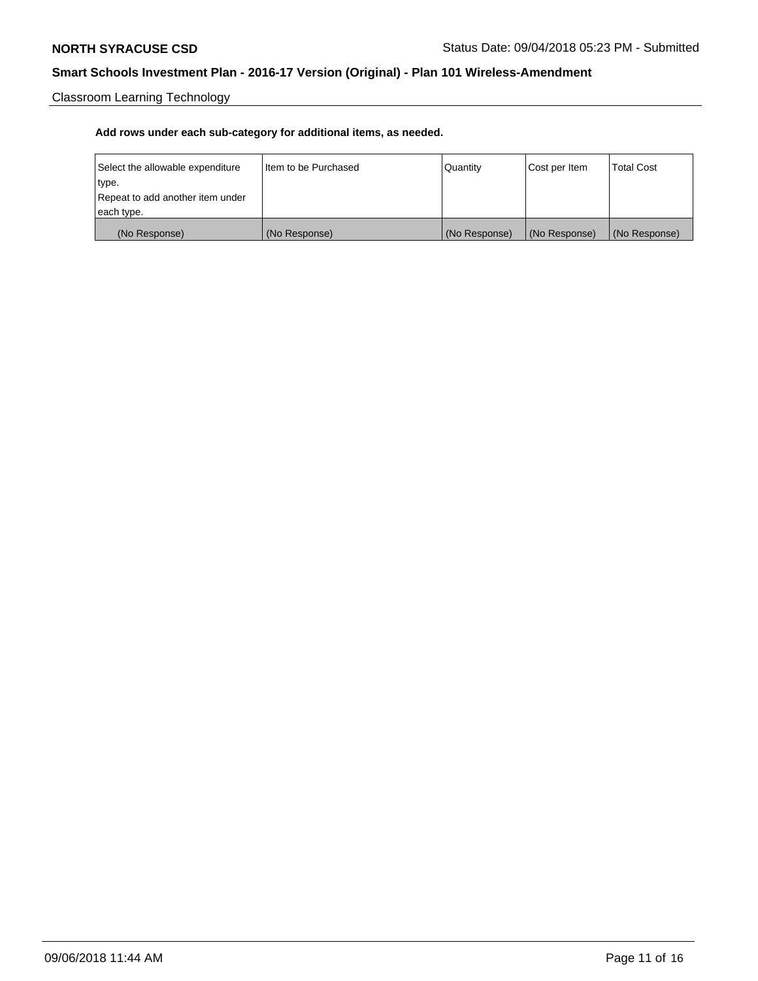Classroom Learning Technology

| Select the allowable expenditure | I Item to be Purchased | Quantity      | Cost per Item | <b>Total Cost</b> |
|----------------------------------|------------------------|---------------|---------------|-------------------|
| type.                            |                        |               |               |                   |
| Repeat to add another item under |                        |               |               |                   |
| each type.                       |                        |               |               |                   |
| (No Response)                    | (No Response)          | (No Response) | (No Response) | (No Response)     |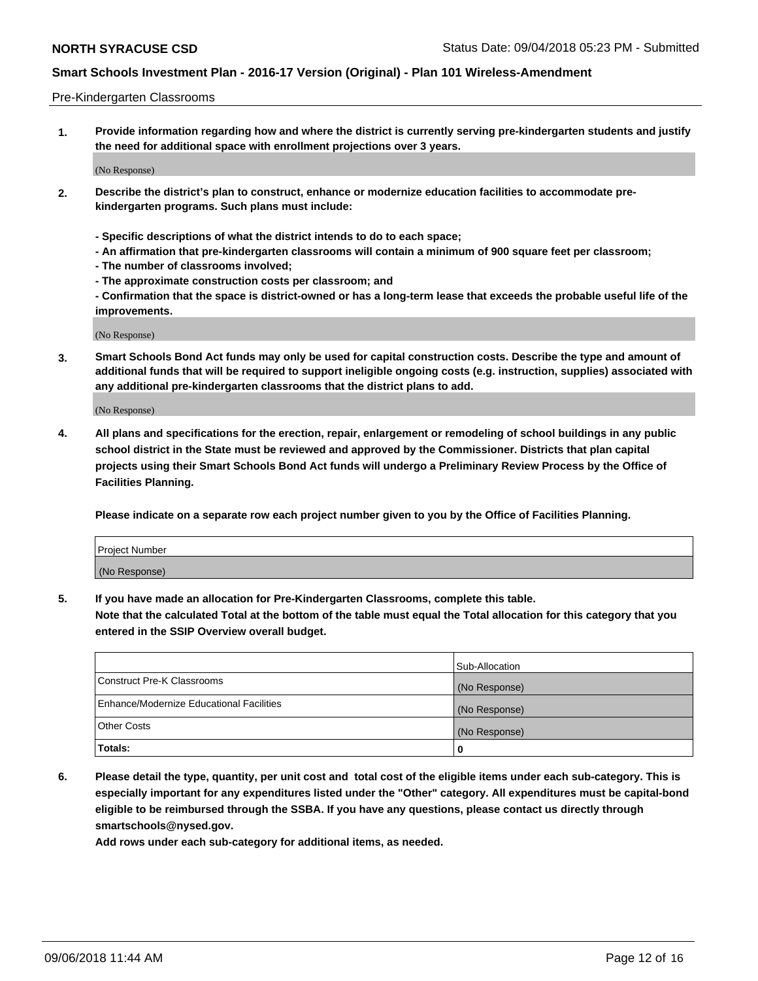#### Pre-Kindergarten Classrooms

**1. Provide information regarding how and where the district is currently serving pre-kindergarten students and justify the need for additional space with enrollment projections over 3 years.**

(No Response)

- **2. Describe the district's plan to construct, enhance or modernize education facilities to accommodate prekindergarten programs. Such plans must include:**
	- **Specific descriptions of what the district intends to do to each space;**
	- **An affirmation that pre-kindergarten classrooms will contain a minimum of 900 square feet per classroom;**
	- **The number of classrooms involved;**
	- **The approximate construction costs per classroom; and**
	- **Confirmation that the space is district-owned or has a long-term lease that exceeds the probable useful life of the improvements.**

(No Response)

**3. Smart Schools Bond Act funds may only be used for capital construction costs. Describe the type and amount of additional funds that will be required to support ineligible ongoing costs (e.g. instruction, supplies) associated with any additional pre-kindergarten classrooms that the district plans to add.**

(No Response)

**4. All plans and specifications for the erection, repair, enlargement or remodeling of school buildings in any public school district in the State must be reviewed and approved by the Commissioner. Districts that plan capital projects using their Smart Schools Bond Act funds will undergo a Preliminary Review Process by the Office of Facilities Planning.**

**Please indicate on a separate row each project number given to you by the Office of Facilities Planning.**

| Project Number |  |
|----------------|--|
| (No Response)  |  |
|                |  |

**5. If you have made an allocation for Pre-Kindergarten Classrooms, complete this table.**

**Note that the calculated Total at the bottom of the table must equal the Total allocation for this category that you entered in the SSIP Overview overall budget.**

|                                          | Sub-Allocation |
|------------------------------------------|----------------|
| Construct Pre-K Classrooms               | (No Response)  |
| Enhance/Modernize Educational Facilities | (No Response)  |
| <b>Other Costs</b>                       | (No Response)  |
| Totals:                                  | 0              |

**6. Please detail the type, quantity, per unit cost and total cost of the eligible items under each sub-category. This is especially important for any expenditures listed under the "Other" category. All expenditures must be capital-bond eligible to be reimbursed through the SSBA. If you have any questions, please contact us directly through smartschools@nysed.gov.**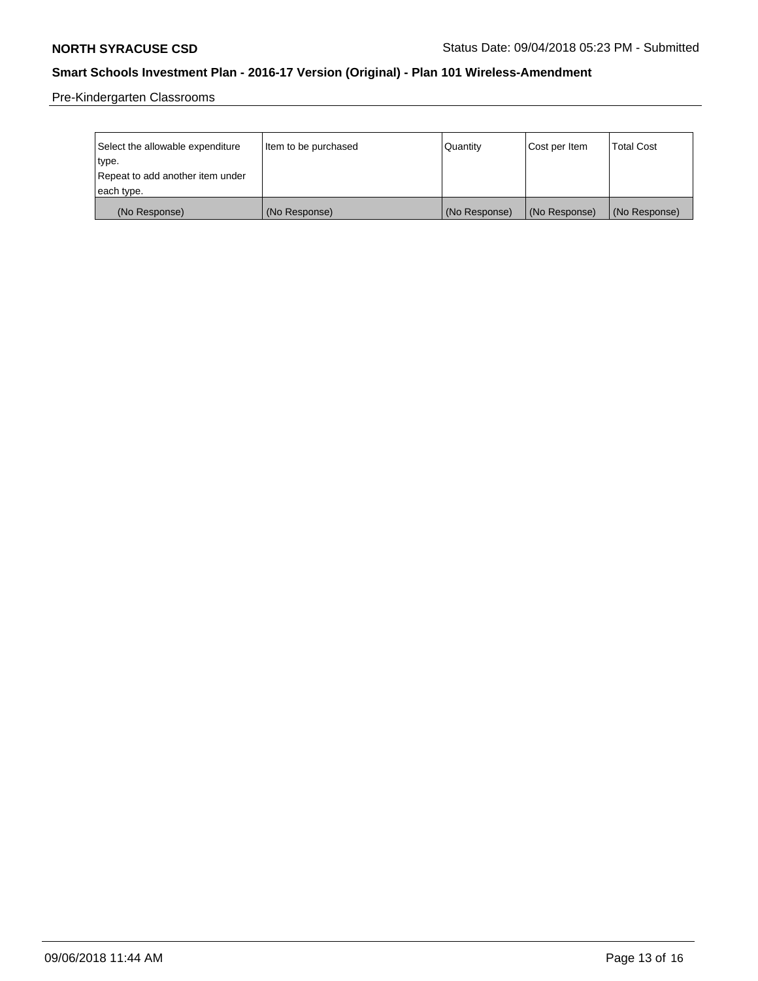Pre-Kindergarten Classrooms

| Select the allowable expenditure | Item to be purchased | Quantity      | Cost per Item | <b>Total Cost</b> |
|----------------------------------|----------------------|---------------|---------------|-------------------|
| type.                            |                      |               |               |                   |
| Repeat to add another item under |                      |               |               |                   |
| each type.                       |                      |               |               |                   |
| (No Response)                    | (No Response)        | (No Response) | (No Response) | (No Response)     |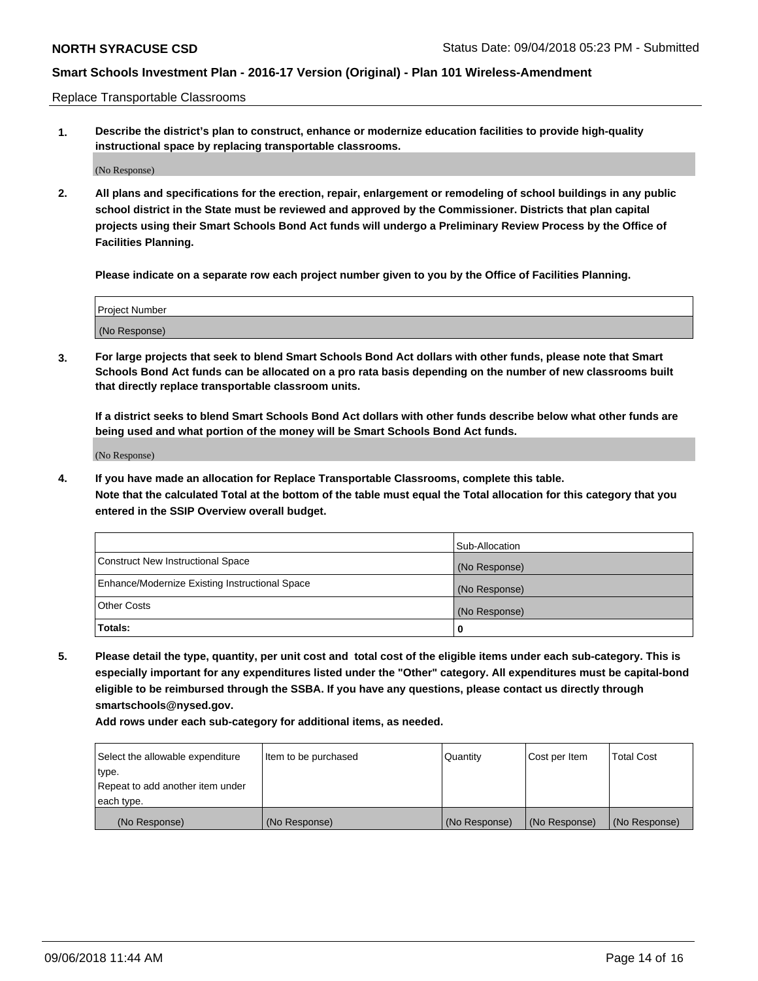Replace Transportable Classrooms

**1. Describe the district's plan to construct, enhance or modernize education facilities to provide high-quality instructional space by replacing transportable classrooms.**

(No Response)

**2. All plans and specifications for the erection, repair, enlargement or remodeling of school buildings in any public school district in the State must be reviewed and approved by the Commissioner. Districts that plan capital projects using their Smart Schools Bond Act funds will undergo a Preliminary Review Process by the Office of Facilities Planning.**

**Please indicate on a separate row each project number given to you by the Office of Facilities Planning.**

| Project Number |  |
|----------------|--|
|                |  |
| (No Response)  |  |

**3. For large projects that seek to blend Smart Schools Bond Act dollars with other funds, please note that Smart Schools Bond Act funds can be allocated on a pro rata basis depending on the number of new classrooms built that directly replace transportable classroom units.**

**If a district seeks to blend Smart Schools Bond Act dollars with other funds describe below what other funds are being used and what portion of the money will be Smart Schools Bond Act funds.**

(No Response)

**4. If you have made an allocation for Replace Transportable Classrooms, complete this table. Note that the calculated Total at the bottom of the table must equal the Total allocation for this category that you entered in the SSIP Overview overall budget.**

|                                                | Sub-Allocation |
|------------------------------------------------|----------------|
| Construct New Instructional Space              | (No Response)  |
| Enhance/Modernize Existing Instructional Space | (No Response)  |
| <b>Other Costs</b>                             | (No Response)  |
| Totals:                                        | 0              |

**5. Please detail the type, quantity, per unit cost and total cost of the eligible items under each sub-category. This is especially important for any expenditures listed under the "Other" category. All expenditures must be capital-bond eligible to be reimbursed through the SSBA. If you have any questions, please contact us directly through smartschools@nysed.gov.**

| Select the allowable expenditure | Item to be purchased | l Quantitv    | Cost per Item | <b>Total Cost</b> |
|----------------------------------|----------------------|---------------|---------------|-------------------|
| type.                            |                      |               |               |                   |
| Repeat to add another item under |                      |               |               |                   |
| each type.                       |                      |               |               |                   |
| (No Response)                    | (No Response)        | (No Response) | (No Response) | (No Response)     |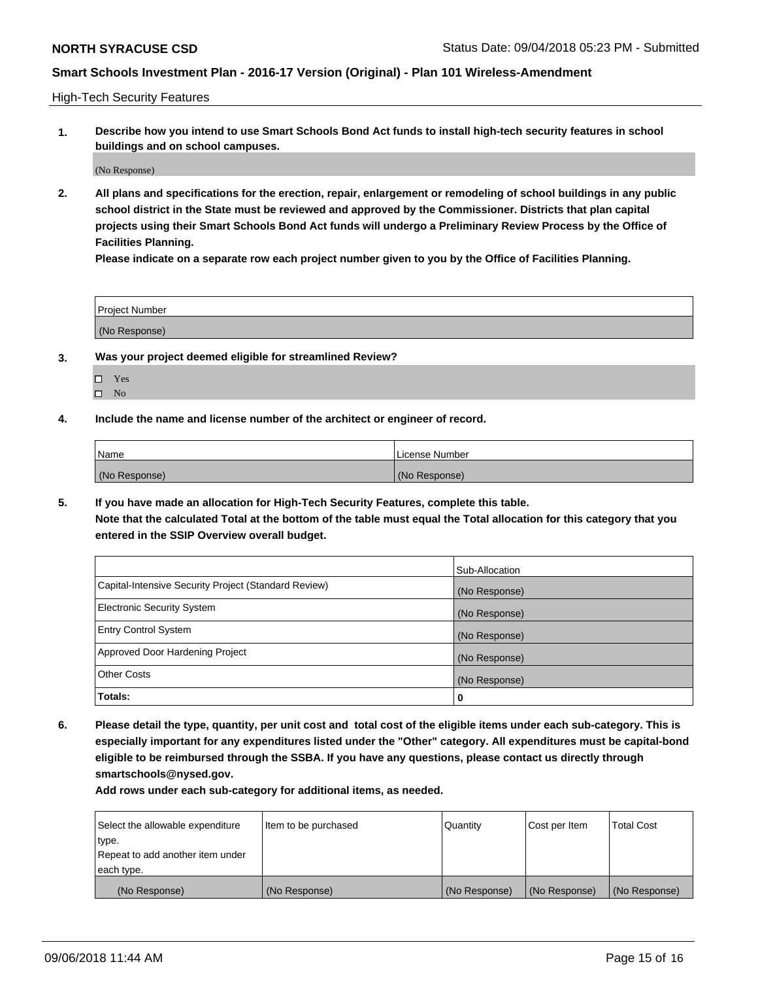High-Tech Security Features

**1. Describe how you intend to use Smart Schools Bond Act funds to install high-tech security features in school buildings and on school campuses.**

(No Response)

**2. All plans and specifications for the erection, repair, enlargement or remodeling of school buildings in any public school district in the State must be reviewed and approved by the Commissioner. Districts that plan capital projects using their Smart Schools Bond Act funds will undergo a Preliminary Review Process by the Office of Facilities Planning.** 

**Please indicate on a separate row each project number given to you by the Office of Facilities Planning.**

| <b>Project Number</b> |  |
|-----------------------|--|
| (No Response)         |  |

- **3. Was your project deemed eligible for streamlined Review?**
	- Yes
	- $\square$  No
- **4. Include the name and license number of the architect or engineer of record.**

| <b>Name</b>   | License Number |
|---------------|----------------|
| (No Response) | (No Response)  |

**5. If you have made an allocation for High-Tech Security Features, complete this table.**

**Note that the calculated Total at the bottom of the table must equal the Total allocation for this category that you entered in the SSIP Overview overall budget.**

|                                                      | Sub-Allocation |
|------------------------------------------------------|----------------|
| Capital-Intensive Security Project (Standard Review) | (No Response)  |
| <b>Electronic Security System</b>                    | (No Response)  |
| <b>Entry Control System</b>                          | (No Response)  |
| Approved Door Hardening Project                      | (No Response)  |
| <b>Other Costs</b>                                   | (No Response)  |
| Totals:                                              | 0              |

**6. Please detail the type, quantity, per unit cost and total cost of the eligible items under each sub-category. This is especially important for any expenditures listed under the "Other" category. All expenditures must be capital-bond eligible to be reimbursed through the SSBA. If you have any questions, please contact us directly through smartschools@nysed.gov.**

| Select the allowable expenditure | Item to be purchased | Quantity      | Cost per Item | <b>Total Cost</b> |
|----------------------------------|----------------------|---------------|---------------|-------------------|
| type.                            |                      |               |               |                   |
| Repeat to add another item under |                      |               |               |                   |
| each type.                       |                      |               |               |                   |
| (No Response)                    | (No Response)        | (No Response) | (No Response) | (No Response)     |